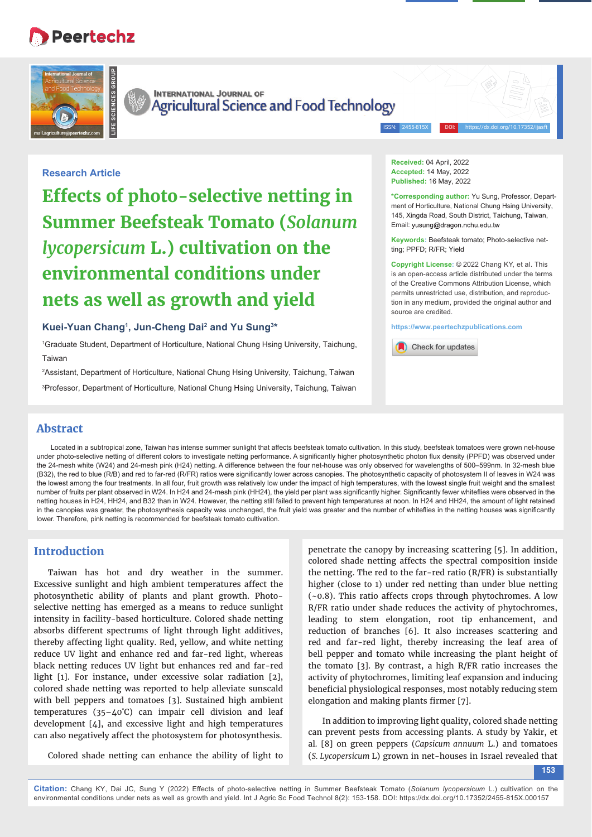# **Peertechz**





**INTERNATIONAL JOURNAL OF Agricultural Science and Food Technology** 

ISSN: 2455-815X DOI: https://dx.doi.org/10.17352/ijasft

# **Research Article**

**Effects of photo-selective netting in Summer Beefsteak Tomato (***Solanum lycopersicum* **L.) cultivation on the environmental conditions under nets as well as growth and yield**

## **Kuei-Yuan Chang1 , Jun-Cheng Dai2 and Yu Sung3 \***

1 Graduate Student, Department of Horticulture, National Chung Hsing University, Taichung, Taiwan

2 Assistant, Department of Horticulture, National Chung Hsing University, Taichung, Taiwan

3 Professor, Department of Horticulture, National Chung Hsing University, Taichung, Taiwan

**Received:** 04 April, 2022 **Accepted:** 14 May, 2022 **Published:** 16 May, 2022

**\*Corresponding author:** Yu Sung, Professor, Department of Horticulture, National Chung Hsing University, 145, Xingda Road, South District, Taichung, Taiwan, Email: yusung@dragon.nchu.edu.tw

**Keywords:** Beefsteak tomato; Photo-selective netting; PPFD; R/FR; Yield

**Copyright License:** © 2022 Chang KY, et al. This is an open-access article distributed under the terms of the Creative Commons Attribution License, which permits unrestricted use, distribution, and reproduction in any medium, provided the original author and source are credited.

**https://www.peertechzpublications.com**

Check for updates

# **Abstract**

Located in a subtropical zone, Taiwan has intense summer sunlight that affects beefsteak tomato cultivation. In this study, beefsteak tomatoes were grown net-house under photo-selective netting of different colors to investigate netting performance. A significantly higher photosynthetic photon flux density (PPFD) was observed under the 24-mesh white (W24) and 24-mesh pink (H24) netting. A difference between the four net-house was only observed for wavelengths of 500-599nm. In 32-mesh blue (B32), the red to blue (R/B) and red to far-red (R/FR) ratios were significantly lower across canopies. The photosynthetic capacity of photosystem II of leaves in W24 was the lowest among the four treatments. In all four, fruit growth was relatively low under the impact of high temperatures, with the lowest single fruit weight and the smallest number of fruits per plant observed in W24. In H24 and 24-mesh pink (HH24), the yield per plant was significantly higher. Significantly fewer whiteflies were observed in the netting houses in H24, HH24, and B32 than in W24. However, the netting still failed to prevent high temperatures at noon. In H24 and HH24, the amount of light retained in the canopies was greater, the photosynthesis capacity was unchanged, the fruit yield was greater and the number of whiteflies in the netting houses was significantly lower. Therefore, pink netting is recommended for beefsteak tomato cultivation.

# **Introduction**

Taiwan has hot and dry weather in the summer. Excessive sunlight and high ambient temperatures affect the photosynthetic ability of plants and plant growth. Photoselective netting has emerged as a means to reduce sunlight intensity in facility-based horticulture. Colored shade netting absorbs different spectrums of light through light additives, thereby affecting light quality. Red, yellow, and white netting reduce UV light and enhance red and far-red light, whereas black netting reduces UV light but enhances red and far-red light [1]. For instance, under excessive solar radiation [2], colored shade netting was reported to help alleviate sunscald with bell peppers and tomatoes [3]. Sustained high ambient temperatures (35–40° C) can impair cell division and leaf development [4], and excessive light and high temperatures can also negatively affect the photosystem for photosynthesis.

Colored shade netting can enhance the ability of light to

penetrate the canopy by increasing scattering [5]. In addition, colored shade netting affects the spectral composition inside the netting. The red to the far-red ratio (R/FR) is substantially higher (close to 1) under red netting than under blue netting (~0.8). This ratio affects crops through phytochromes. A low R/FR ratio under shade reduces the activity of phytochromes, leading to stem elongation, root tip enhancement, and reduction of branches [6]. It also increases scattering and red and far-red light, thereby increasing the leaf area of bell pepper and tomato while increasing the plant height of the tomato [3]. By contrast, a high R/FR ratio increases the activity of phytochromes, limiting leaf expansion and inducing beneficial physiological responses, most notably reducing stem elongation and making plants firmer [7].

In addition to improving light quality, colored shade netting can prevent pests from accessing plants. A study by Yakir, et al*.* [8] on green peppers (*Capsicum annuum* L.) and tomatoes (*S. Lycopersicum* L) grown in net-houses in Israel revealed that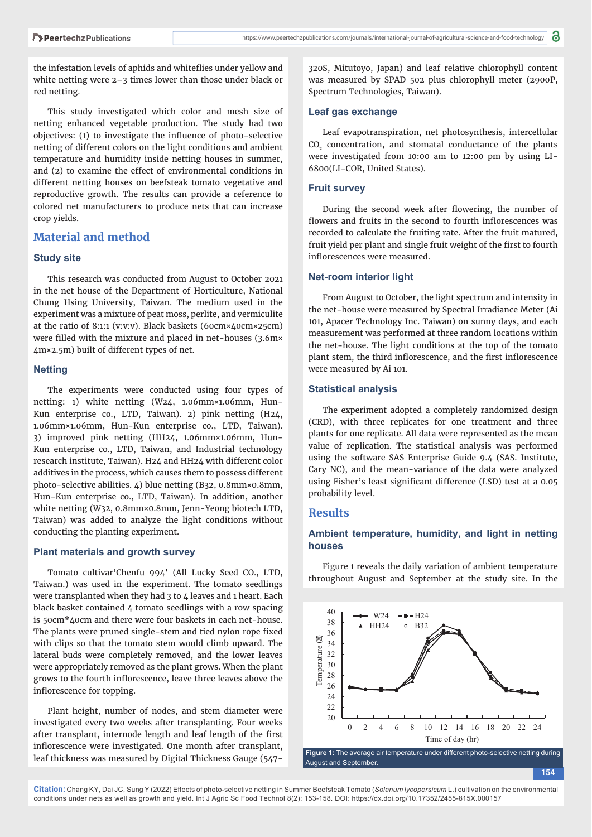the infestation levels of aphids and whiteflies under yellow and white netting were 2–3 times lower than those under black or red netting.

This study investigated which color and mesh size of netting enhanced vegetable production. The study had two  $objectives: (1)$  to investigate the influence of photo-selective netting of different colors on the light conditions and ambient temperature and humidity inside netting houses in summer, and (2) to examine the effect of environmental conditions in different netting houses on beefsteak tomato vegetative and reproductive growth. The results can provide a reference to colored net manufacturers to produce nets that can increase crop yields.

# **Material and method**

#### **Study site**

This research was conducted from August to October 2021 in the net house of the Department of Horticulture, National Chung Hsing University, Taiwan. The medium used in the experiment was a mixture of peat moss, perlite, and vermiculite at the ratio of 8:1:1 (v:v:v). Black baskets (60cm×40cm×25cm) were filled with the mixture and placed in net-houses (3.6m× 4m×2.5m) built of different types of net.

#### **Netting**

The experiments were conducted using four types of netting: 1) white netting (W24, 1.06mm×1.06mm, Hun-Kun enterprise co., LTD, Taiwan). 2) pink netting (H24, 1.06mm×1.06mm, Hun-Kun enterprise co., LTD, Taiwan). 3) improved pink netting (HH24, 1.06mm×1.06mm, Hun-Kun enterprise co., LTD, Taiwan, and Industrial technology research institute, Taiwan). H24 and HH24 with different color additives in the process, which causes them to possess different photo-selective abilities. 4) blue netting (B32, 0.8mm×0.8mm, Hun-Kun enterprise co., LTD, Taiwan). In addition, another white netting (W32, 0.8mm×0.8mm, Jenn-Yeong biotech LTD, Taiwan) was added to analyze the light conditions without conducting the planting experiment.

#### **Plant materials and growth survey**

Tomato cultivar'Chenfu 994' (All Lucky Seed CO., LTD, Taiwan.) was used in the experiment. The tomato seedlings were transplanted when they had 3 to 4 leaves and 1 heart. Each black basket contained 4 tomato seedlings with a row spacing is 50cm\*40cm and there were four baskets in each net-house. The plants were pruned single-stem and tied nylon rope fixed with clips so that the tomato stem would climb upward. The lateral buds were completely removed, and the lower leaves were appropriately removed as the plant grows. When the plant grows to the fourth inflorescence, leave three leaves above the inflorescence for topping.

Plant height, number of nodes, and stem diameter were investigated every two weeks after transplanting. Four weeks after transplant, internode length and leaf length of the first inflorescence were investigated. One month after transplant, leaf thickness was measured by Digital Thickness Gauge (547320S, Mitutoyo, Japan) and leaf relative chlorophyll content was measured by SPAD 502 plus chlorophyll meter (2900P, Spectrum Technologies, Taiwan).

#### **Leaf gas exchange**

Leaf evapotranspiration, net photosynthesis, intercellular CO<sub>2</sub> concentration, and stomatal conductance of the plants were investigated from 10:00 am to 12:00 pm by using LI-6800(LI-COR, United States).

## **Fruit survey**

During the second week after flowering, the number of flowers and fruits in the second to fourth inflorescences was recorded to calculate the fruiting rate. After the fruit matured, fruit yield per plant and single fruit weight of the first to fourth inflorescences were measured.

## **Net-room interior light**

From August to October, the light spectrum and intensity in the net-house were measured by Spectral Irradiance Meter (Ai 101, Apacer Technology Inc. Taiwan) on sunny days, and each measurement was performed at three random locations within the net-house. The light conditions at the top of the tomato plant stem, the third inflorescence, and the first inflorescence were measured by Ai 101.

#### **Statistical analysis**

The experiment adopted a completely randomized design (CRD), with three replicates for one treatment and three plants for one replicate. All data were represented as the mean value of replication. The statistical analysis was performed using the software SAS Enterprise Guide 9.4 (SAS. Institute, Cary NC), and the mean-variance of the data were analyzed using Fisher's least significant difference (LSD) test at a 0.05 probability level.

### **Results**

## **Ambient temperature, humidity, and light in netting houses**

Figure 1 reveals the daily variation of ambient temperature throughout August and September at the study site. In the

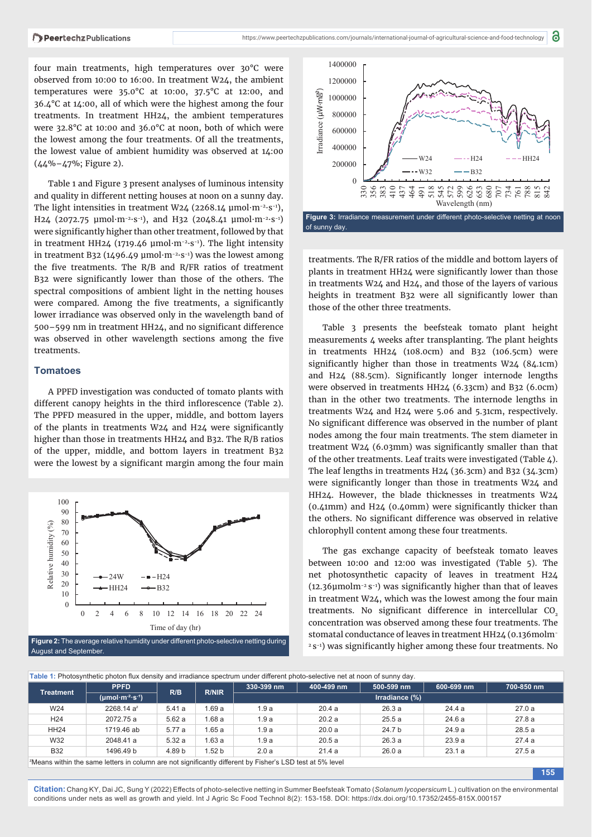four main treatments, high temperatures over 30°C were observed from 10:00 to 16:00. In treatment W24, the ambient temperatures were 35.0°C at 10:00, 37.5°C at 12:00, and 36.4°C at 14:00, all of which were the highest among the four treatments. In treatment HH24, the ambient temperatures were 32.8°C at 10:00 and 36.0°C at noon, both of which were the lowest among the four treatments. Of all the treatments, the lowest value of ambient humidity was observed at 14:00 (44%–47%; Figure 2).

Table 1 and Figure 3 present analyses of luminous intensity and quality in different netting houses at noon on a sunny day. The light intensities in treatment W24 (2268.14 μmol·m<sup>-2</sup>·s<sup>-1</sup>), H24 (2072.75  $\mu$ mol·m<sup>-2</sup>·s<sup>-1</sup>), and H32 (2048.41  $\mu$ mol·m<sup>-2</sup>·s<sup>-1</sup>) were significantly higher than other treatment, followed by that in treatment HH24 (1719.46 μmol·m<sup>-2</sup>·s<sup>-1</sup>). The light intensity in treatment B32 (1496.49 µmol·m<sup>-2</sup>·s<sup>-1</sup>) was the lowest among the five treatments. The  $R/B$  and  $R/FR$  ratios of treatment B32 were significantly lower than those of the others. The spectral compositions of ambient light in the netting houses were compared. Among the five treatments, a significantly lower irradiance was observed only in the wavelength band of 500-599 nm in treatment HH24, and no significant difference was observed in other wavelength sections among the five treatments.

#### **Tomatoes**

A PPFD investigation was conducted of tomato plants with different canopy heights in the third inflorescence (Table 2). The PPFD measured in the upper, middle, and bottom layers of the plants in treatments  $W24$  and  $H24$  were significantly higher than those in treatments HH24 and B32. The R/B ratios of the upper, middle, and bottom layers in treatment B32 were the lowest by a significant margin among the four main



August and September.



treatments. The R/FR ratios of the middle and bottom layers of plants in treatment HH24 were significantly lower than those in treatments W24 and H24, and those of the layers of various heights in treatment B32 were all significantly lower than those of the other three treatments.

Table 3 presents the beefsteak tomato plant height measurements 4 weeks after transplanting. The plant heights in treatments HH24 (108.0cm) and B32 (106.5cm) were significantly higher than those in treatments  $W24$  (84.1cm) and H24 (88.5cm). Significantly longer internode lengths were observed in treatments HH24 (6.33cm) and B32 (6.0cm) than in the other two treatments. The internode lengths in treatments W24 and H24 were 5.06 and 5.31cm, respectively. No significant difference was observed in the number of plant nodes among the four main treatments. The stem diameter in treatment W24 (6.03mm) was significantly smaller than that of the other treatments. Leaf traits were investigated (Table 4). The leaf lengths in treatments H24 (36.3cm) and B32 (34.3cm) were significantly longer than those in treatments W24 and HH24. However, the blade thicknesses in treatments W24  $(0.41$ mm) and H24  $(0.40$ mm) were significantly thicker than the others. No significant difference was observed in relative chlorophyll content among these four treatments.

The gas exchange capacity of beefsteak tomato leaves between 10:00 and 12:00 was investigated (Table 5). The net photosynthetic capacity of leaves in treatment H24  $(12.36$ umolm<sup>-2</sup> s<sup>-1</sup>) was significantly higher than that of leaves in treatment W24, which was the lowest among the four main treatments. No significant difference in intercellular  $CO<sub>2</sub>$ concentration was observed among these four treatments. The stomatal conductance of leaves in treatment HH24 (0.136molm- $2$  s<sup>-1</sup>) was significantly higher among these four treatments. No

| <b>Treatment</b> | <b>PPFD</b><br>$(\mu \text{mol}\cdot\text{m}^{-2}\cdot\text{s}^{-1})$ | R/B    | <b>R/NIR</b>      | 330-399 nm     | 400-499 nm | 500-599 nm | 600-699 nm | 700-850 nm |
|------------------|-----------------------------------------------------------------------|--------|-------------------|----------------|------------|------------|------------|------------|
|                  |                                                                       |        |                   | Irradiance (%) |            |            |            |            |
| W24              | $2268.14a^2$                                                          | 5.41a  | 1.69a             | 1.9a           | 20.4a      | 26.3 a     | 24.4 a     | 27.0a      |
| H <sub>24</sub>  | 2072.75 a                                                             | 5.62a  | 1.68a             | 1.9a           | 20.2a      | 25.5a      | 24.6a      | 27.8a      |
| HH24             | 1719.46 ab                                                            | 5.77 a | 1.65a             | 1.9a           | 20.0a      | 24.7 b     | 24.9a      | 28.5a      |
| W32              | 2048.41 a                                                             | 5.32a  | 1.63a             | 1.9a           | 20.5a      | 26.3a      | 23.9a      | 27.4a      |
| <b>B32</b>       | 1496.49 b                                                             | 4.89 b | 1.52 <sub>b</sub> | 2.0a           | 21.4a      | 26.0 a     | 23.1a      | 27.5a      |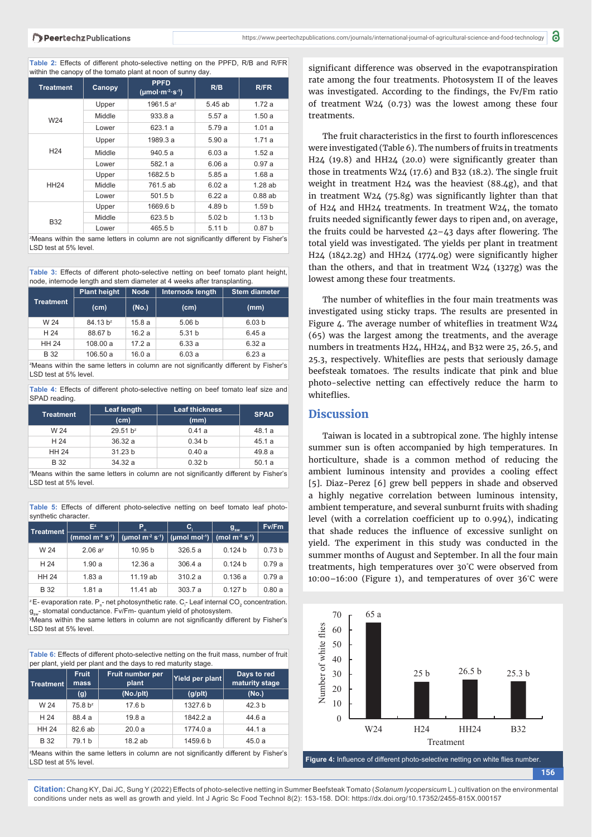Table 2: Effects of different photo-selective netting on the PPFD, R/B and R/FR within the canopy of the tomato plant at noon of sunny day.

| <b>Treatment</b> | Canopy | <b>PPFD</b><br>$(\mu \text{mol}\cdot\text{m}^{-2}\cdot\text{s}^{-1})$ | R/B               | R/FR              |  |  |
|------------------|--------|-----------------------------------------------------------------------|-------------------|-------------------|--|--|
|                  | Upper  | 1961.5 a <sup>z</sup>                                                 | 5.45 ab           | 1.72a             |  |  |
| W24              | Middle | 933.8a                                                                | 5.57a             | 1.50a             |  |  |
|                  | Lower  | 623.1 a                                                               | 5.79 a            | 1.01a             |  |  |
|                  | Upper  | 1989.3 a                                                              | 5.90a             | 1.71a             |  |  |
| H <sub>24</sub>  | Middle | 940.5 a                                                               | 6.03a             | 1.52a             |  |  |
|                  | Lower  | 582.1a                                                                | 6.06a             | 0.97a             |  |  |
|                  | Upper  | 1682.5 b                                                              | 5.85a             | 1.68a             |  |  |
| <b>HH24</b>      | Middle | 761.5 ab                                                              | 6.02a             | 1.28ab            |  |  |
|                  | Lower  | 501.5 b                                                               | 6.22a             | 0.88ab            |  |  |
|                  | Upper  | 1669.6 b                                                              | 4.89 b            | 1.59 <sub>b</sub> |  |  |
| <b>B32</b>       | Middle | 623.5 b                                                               | 5.02 <sub>b</sub> | 1.13 <sub>b</sub> |  |  |
|                  | Lower  | 465.5 b                                                               | 5.11 b            | 0.87 <sub>b</sub> |  |  |

<sup>2</sup>Means within the same letters in column are not significantly different by Fisher's LSD test at 5% level.

Table 3: Effects of different photo-selective netting on beef tomato plant height, node, internode length and stem diameter at 4 weeks after transplanting.

|                                                                                                                 | <b>Plant height</b>  | <b>Node</b> | Internode length  | <b>Stem diameter</b> |  |
|-----------------------------------------------------------------------------------------------------------------|----------------------|-------------|-------------------|----------------------|--|
| <b>Treatment</b>                                                                                                | (cm)                 | (No.)       | (cm)              | (mm)                 |  |
| W 24                                                                                                            | 84.13 b <sup>z</sup> | 15.8a       | 5.06 <sub>b</sub> | 6.03 <sub>b</sub>    |  |
| H 24                                                                                                            | 88.67 b              | 16.2a       | 5.31 b            | 6.45a                |  |
| <b>HH 24</b>                                                                                                    | 108.00a              | 17.2a       | 6.33a             | 6.32a                |  |
| <b>B</b> 32                                                                                                     | 106.50a              | 16.0a       | 6.03a             | 6.23a                |  |
| 1980 - Jane Barthlin, Alex Hermann, Feddynas, in Hermann, and Hermann Standard Alexandria (1980) - Jane James M |                      |             |                   |                      |  |

<sup>2</sup>Means within the same letters in column are not significantly different by Fisher's LSD test at 5% level.

Table 4: Effects of different photo-selective netting on beef tomato leaf size and SPAD reading.

| <b>Treatment</b>                                                                     | Leaf length          | <b>Leaf thickness</b> | <b>SPAD</b> |  |  |
|--------------------------------------------------------------------------------------|----------------------|-----------------------|-------------|--|--|
|                                                                                      | (cm)                 | (mm)                  |             |  |  |
| W 24                                                                                 | 29.51 b <sup>z</sup> | 0.41a                 | 48.1 a      |  |  |
| H 24                                                                                 | 36.32a               | 0.34 <sub>b</sub>     | 45.1a       |  |  |
| <b>HH 24</b>                                                                         | 31.23 <sub>b</sub>   | 0.40a                 | 49.8 a      |  |  |
| B 32                                                                                 | 34.32a               | 0.32 <sub>b</sub>     | 50.1a       |  |  |
| ZMeane within the same letters in column are not significantly different by Fisher's |                      |                       |             |  |  |

ins within the same letters in column are not significantly different by Fisher's LSD test at 5% level.

Table 5: Effects of different photo-selective netting on beef tomato leaf photosynthetic character.

| <b>Treatment</b> | $E^z$              | P<br>n                                                                    | C,     | $g_{\rm sw}$       | Fv/Fm             |
|------------------|--------------------|---------------------------------------------------------------------------|--------|--------------------|-------------------|
|                  | (mmol $m^2 s^1$ )  | (umol m <sup>-2</sup> s <sup>-1</sup> ) $ $ (umol mol <sup>-1</sup> ) $ $ |        | (mol $m^2 s^4$ )   |                   |
| W 24             | 2.06a <sup>y</sup> | 10.95 <sub>b</sub>                                                        | 326.5a | 0.124 b            | 0.73 <sub>b</sub> |
| H 24             | 1.90a              | 12.36a                                                                    | 306.4a | 0.124 b            | 0.79a             |
| <b>HH 24</b>     | 1.83a              | 11.19 ab                                                                  | 310.2a | 0.136a             | 0.79a             |
| <b>B</b> 32      | 1.81a              | 11.41 ab                                                                  | 303.7a | 0.127 <sub>b</sub> | 0.80a             |

 $^{\rm z}$ E- evaporation rate.  ${\sf P}_{\rm n}^{\rm -}$  net photosynthetic rate.  ${\sf C}_{\rm i}^{\rm -}$  Leaf internal CO $_{\rm 2}$  concentration. g<sub>sser</sub> stomatal conductance. Fv/Fm- quantum yield of photosystem.

<sup>y</sup>Means within the same letters in column are not significantly different by Fisher's LSD test at 5% level.

Table 6: Effects of different photo-selective netting on the fruit mass, number of fruit per plant, yield per plant and the days to red maturity stage.

| Treatment                                                                                        | <b>Fruit</b><br>mass | Fruit number per<br>plant | Yield per plant | Days to red<br>maturity stage |  |
|--------------------------------------------------------------------------------------------------|----------------------|---------------------------|-----------------|-------------------------------|--|
|                                                                                                  | (g)                  | (No./plt)                 | (g/plt)         | (No.)                         |  |
| W 24                                                                                             | 75.8 b <sup>z</sup>  | 17.6 b                    | 1327.6 b        | 42.3 <sub>b</sub>             |  |
| H 24                                                                                             | 88.4 a               | 19.8a                     | 1842.2 a        | 44.6 a                        |  |
| <b>HH 24</b>                                                                                     | 82.6ab               | 20.0a                     | 1774.0 a        | 44.1a                         |  |
| <b>B</b> 32                                                                                      | 79.1 b               | 18.2ab                    | 1459.6 b        | 45.0a                         |  |
| <sup>z</sup> Means within the same letters in column are not significantly different by Fisher's |                      |                           |                 |                               |  |

LSD test at 5% level.

significant difference was observed in the evapotranspiration rate among the four treatments. Photosystem II of the leaves was investigated. According to the findings, the Fv/Fm ratio of treatment W24 (0.73) was the lowest among these four treatments.

The fruit characteristics in the first to fourth inflorescences were investigated (Table 6). The numbers of fruits in treatments H24 (19.8) and HH24 (20.0) were significantly greater than those in treatments W24 (17.6) and B32 (18.2). The single fruit weight in treatment H24 was the heaviest (88.4g), and that in treatment W24 (75.8g) was significantly lighter than that of H24 and HH24 treatments. In treatment W24, the tomato fruits needed significantly fewer days to ripen and, on average, the fruits could be harvested  $42-43$  days after flowering. The total yield was investigated. The yields per plant in treatment  $H24$  (1842.2g) and  $HH24$  (1774.0g) were significantly higher than the others, and that in treatment W24 (1327g) was the lowest among these four treatments.

The number of whiteflies in the four main treatments was investigated using sticky traps. The results are presented in Figure 4. The average number of whiteflies in treatment  $W24$ (65) was the largest among the treatments, and the average numbers in treatments H24, HH24, and B32 were 25, 26.5, and 25.3, respectively. Whiteflies are pests that seriously damage beefsteak tomatoes. The results indicate that pink and blue photo-selective netting can effectively reduce the harm to whiteflies

# **Discussion**

Taiwan is located in a subtropical zone. The highly intense summer sun is often accompanied by high temperatures. In horticulture, shade is a common method of reducing the ambient luminous intensity and provides a cooling effect [5]. Diaz-Perez [6] grew bell peppers in shade and observed a highly negative correlation between luminous intensity, ambient temperature, and several sunburnt fruits with shading level (with a correlation coefficient up to  $0.994$ ), indicating that shade reduces the influence of excessive sunlight on yield. The experiment in this study was conducted in the summer months of August and September. In all the four main treatments, high temperatures over 30° C were observed from 10:00–16:00 (Figure 1), and temperatures of over 36° C were



**156**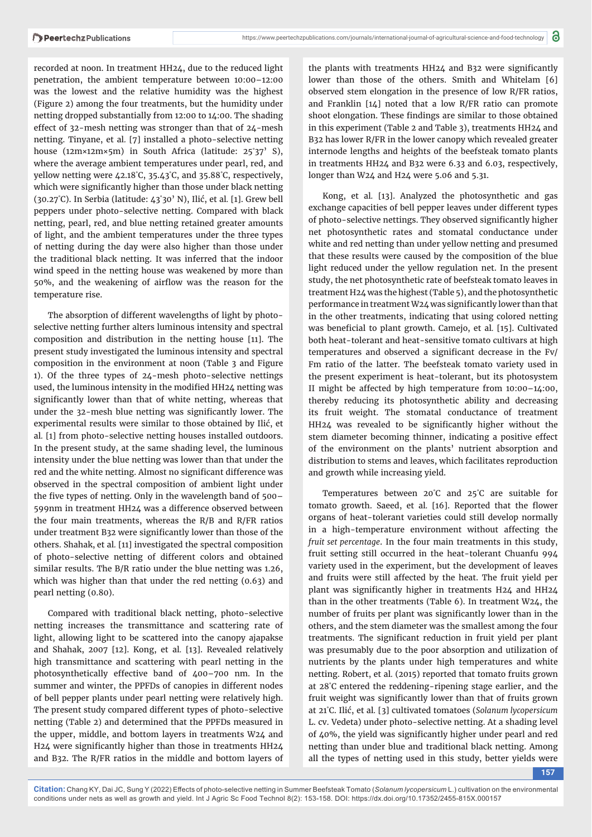recorded at noon. In treatment HH24, due to the reduced light penetration, the ambient temperature between 10:00–12:00 was the lowest and the relative humidity was the highest (Figure 2) among the four treatments, but the humidity under netting dropped substantially from 12:00 to 14:00. The shading effect of 32-mesh netting was stronger than that of 24-mesh netting. Tinyane, et al. [7] installed a photo-selective netting house ( $12m \times 12m \times 5m$ ) in South Africa (latitude:  $25°37'$  S), where the average ambient temperatures under pearl, red, and yellow netting were 42.18° C, 35.43° C, and 35.88° C, respectively, which were significantly higher than those under black netting (30.27° C). In Serbia (latitude: 43° 30' N), Ilić, et al*.* [1]. Grew bell peppers under photo-selective netting. Compared with black netting, pearl, red, and blue netting retained greater amounts of light, and the ambient temperatures under the three types of netting during the day were also higher than those under the traditional black netting. It was inferred that the indoor wind speed in the netting house was weakened by more than 50%, and the weakening of airflow was the reason for the temperature rise.

The absorption of different wavelengths of light by photoselective netting further alters luminous intensity and spectral composition and distribution in the netting house [11]. The present study investigated the luminous intensity and spectral composition in the environment at noon (Table 3 and Figure 1). Of the three types of 24-mesh photo-selective nettings used, the luminous intensity in the modified HH24 netting was significantly lower than that of white netting, whereas that under the 32-mesh blue netting was significantly lower. The experimental results were similar to those obtained by Ilić, et al*.* [1] from photo-selective netting houses installed outdoors. In the present study, at the same shading level, the luminous intensity under the blue netting was lower than that under the red and the white netting. Almost no significant difference was observed in the spectral composition of ambient light under the five types of netting. Only in the wavelength band of  $500-$ 599nm in treatment HH24 was a difference observed between the four main treatments, whereas the R/B and R/FR ratios under treatment B32 were significantly lower than those of the others. Shahak, et al*.* [11] investigated the spectral composition of photo-selective netting of different colors and obtained similar results. The B/R ratio under the blue netting was 1.26, which was higher than that under the red netting (0.63) and pearl netting (0.80).

Compared with traditional black netting, photo-selective netting increases the transmittance and scattering rate of light, allowing light to be scattered into the canopy ajapakse and Shahak, 2007 [12]. Kong, et al*.* [13]. Revealed relatively high transmittance and scattering with pearl netting in the photosynthetically effective band of 400–700 nm. In the summer and winter, the PPFDs of canopies in different nodes of bell pepper plants under pearl netting were relatively high. The present study compared different types of photo-selective netting (Table 2) and determined that the PPFDs measured in the upper, middle, and bottom layers in treatments W24 and H24 were significantly higher than those in treatments HH24 and B32. The R/FR ratios in the middle and bottom layers of

the plants with treatments HH24 and B32 were significantly lower than those of the others. Smith and Whitelam [6] observed stem elongation in the presence of low R/FR ratios, and Franklin [14] noted that a low R/FR ratio can promote shoot elongation. These findings are similar to those obtained in this experiment (Table 2 and Table 3), treatments HH24 and B32 has lower R/FR in the lower canopy which revealed greater internode lengths and heights of the beefsteak tomato plants in treatments HH24 and B32 were 6.33 and 6.03, respectively, longer than W24 and H24 were 5.06 and 5.31.

Kong, et al*.* [13]. Analyzed the photosynthetic and gas exchange capacities of bell pepper leaves under different types of photo-selective nettings. They observed significantly higher net photosynthetic rates and stomatal conductance under white and red netting than under yellow netting and presumed that these results were caused by the composition of the blue light reduced under the yellow regulation net. In the present study, the net photosynthetic rate of beefsteak tomato leaves in treatment H24 was the highest (Table 5), and the photosynthetic performance in treatment W24 was significantly lower than that in the other treatments, indicating that using colored netting was beneficial to plant growth. Camejo, et al. [15]. Cultivated both heat-tolerant and heat-sensitive tomato cultivars at high temperatures and observed a significant decrease in the Fv/ Fm ratio of the latter. The beefsteak tomato variety used in the present experiment is heat-tolerant, but its photosystem II might be affected by high temperature from 10:00–14:00, thereby reducing its photosynthetic ability and decreasing its fruit weight. The stomatal conductance of treatment HH24 was revealed to be significantly higher without the stem diameter becoming thinner, indicating a positive effect of the environment on the plants' nutrient absorption and distribution to stems and leaves, which facilitates reproduction and growth while increasing yield.

Temperatures between 20° C and 25° C are suitable for tomato growth. Saeed, et al. [16]. Reported that the flower organs of heat-tolerant varieties could still develop normally in a high-temperature environment without affecting the *fruit set percentage*. In the four main treatments in this study, fruit setting still occurred in the heat-tolerant Chuanfu 994 variety used in the experiment, but the development of leaves and fruits were still affected by the heat. The fruit yield per plant was significantly higher in treatments H24 and HH24 than in the other treatments (Table 6). In treatment W24, the number of fruits per plant was significantly lower than in the others, and the stem diameter was the smallest among the four treatments. The significant reduction in fruit yield per plant was presumably due to the poor absorption and utilization of nutrients by the plants under high temperatures and white netting. Robert, et al*.* (2015) reported that tomato fruits grown at 28° C entered the reddening-ripening stage earlier, and the fruit weight was significantly lower than that of fruits grown at 21° C. Ilić, et al*.* [3] cultivated tomatoes (*Solanum lycopersicum* L. cv. Vedeta) under photo-selective netting. At a shading level of  $40%$ , the yield was significantly higher under pearl and red netting than under blue and traditional black netting. Among all the types of netting used in this study, better yields were

**157**